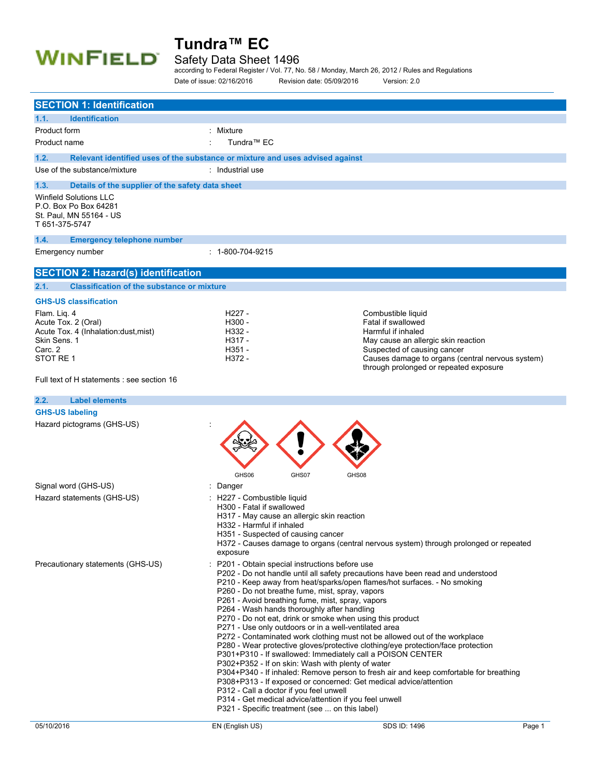

### Safety Data Sheet 1496

according to Federal Register / Vol. 77, No. 58 / Monday, March 26, 2012 / Rules and Regulations Date of issue: 02/16/2016 Revision date: 05/09/2016 Version: 2.0

| <b>SECTION 1: Identification</b>                                                          |                                                                                                                                                                                                                                                                                                                                                                                                                                                                                                                                                                                                                                                                            |                                                                                                                                                                                                                                                                                                                                                                                                                        |        |
|-------------------------------------------------------------------------------------------|----------------------------------------------------------------------------------------------------------------------------------------------------------------------------------------------------------------------------------------------------------------------------------------------------------------------------------------------------------------------------------------------------------------------------------------------------------------------------------------------------------------------------------------------------------------------------------------------------------------------------------------------------------------------------|------------------------------------------------------------------------------------------------------------------------------------------------------------------------------------------------------------------------------------------------------------------------------------------------------------------------------------------------------------------------------------------------------------------------|--------|
| <b>Identification</b><br>1.1.                                                             |                                                                                                                                                                                                                                                                                                                                                                                                                                                                                                                                                                                                                                                                            |                                                                                                                                                                                                                                                                                                                                                                                                                        |        |
| Product form                                                                              | : Mixture                                                                                                                                                                                                                                                                                                                                                                                                                                                                                                                                                                                                                                                                  |                                                                                                                                                                                                                                                                                                                                                                                                                        |        |
| Product name                                                                              | Tundra <sup>™</sup> EC                                                                                                                                                                                                                                                                                                                                                                                                                                                                                                                                                                                                                                                     |                                                                                                                                                                                                                                                                                                                                                                                                                        |        |
| 1.2.                                                                                      | Relevant identified uses of the substance or mixture and uses advised against                                                                                                                                                                                                                                                                                                                                                                                                                                                                                                                                                                                              |                                                                                                                                                                                                                                                                                                                                                                                                                        |        |
| Use of the substance/mixture                                                              | : Industrial use                                                                                                                                                                                                                                                                                                                                                                                                                                                                                                                                                                                                                                                           |                                                                                                                                                                                                                                                                                                                                                                                                                        |        |
|                                                                                           |                                                                                                                                                                                                                                                                                                                                                                                                                                                                                                                                                                                                                                                                            |                                                                                                                                                                                                                                                                                                                                                                                                                        |        |
| 1.3.<br>Details of the supplier of the safety data sheet<br><b>Winfield Solutions LLC</b> |                                                                                                                                                                                                                                                                                                                                                                                                                                                                                                                                                                                                                                                                            |                                                                                                                                                                                                                                                                                                                                                                                                                        |        |
| P.O. Box Po Box 64281<br>St. Paul, MN 55164 - US<br>T 651-375-5747                        |                                                                                                                                                                                                                                                                                                                                                                                                                                                                                                                                                                                                                                                                            |                                                                                                                                                                                                                                                                                                                                                                                                                        |        |
| 1.4.<br><b>Emergency telephone number</b>                                                 |                                                                                                                                                                                                                                                                                                                                                                                                                                                                                                                                                                                                                                                                            |                                                                                                                                                                                                                                                                                                                                                                                                                        |        |
| Emergency number                                                                          | $: 1 - 800 - 704 - 9215$                                                                                                                                                                                                                                                                                                                                                                                                                                                                                                                                                                                                                                                   |                                                                                                                                                                                                                                                                                                                                                                                                                        |        |
| <b>SECTION 2: Hazard(s) identification</b>                                                |                                                                                                                                                                                                                                                                                                                                                                                                                                                                                                                                                                                                                                                                            |                                                                                                                                                                                                                                                                                                                                                                                                                        |        |
| <b>Classification of the substance or mixture</b><br>2.1.                                 |                                                                                                                                                                                                                                                                                                                                                                                                                                                                                                                                                                                                                                                                            |                                                                                                                                                                                                                                                                                                                                                                                                                        |        |
| <b>GHS-US classification</b>                                                              |                                                                                                                                                                                                                                                                                                                                                                                                                                                                                                                                                                                                                                                                            |                                                                                                                                                                                                                                                                                                                                                                                                                        |        |
| Flam. Lig. 4                                                                              | H <sub>227</sub> -                                                                                                                                                                                                                                                                                                                                                                                                                                                                                                                                                                                                                                                         | Combustible liquid                                                                                                                                                                                                                                                                                                                                                                                                     |        |
| Acute Tox. 2 (Oral)                                                                       | H300 -                                                                                                                                                                                                                                                                                                                                                                                                                                                                                                                                                                                                                                                                     | Fatal if swallowed                                                                                                                                                                                                                                                                                                                                                                                                     |        |
| Acute Tox. 4 (Inhalation:dust, mist)<br>Skin Sens. 1                                      | H332 -<br>H317 -                                                                                                                                                                                                                                                                                                                                                                                                                                                                                                                                                                                                                                                           | Harmful if inhaled<br>May cause an allergic skin reaction                                                                                                                                                                                                                                                                                                                                                              |        |
| Carc. 2                                                                                   | $H351 -$                                                                                                                                                                                                                                                                                                                                                                                                                                                                                                                                                                                                                                                                   | Suspected of causing cancer                                                                                                                                                                                                                                                                                                                                                                                            |        |
| STOT RE1                                                                                  | $H372 -$                                                                                                                                                                                                                                                                                                                                                                                                                                                                                                                                                                                                                                                                   | Causes damage to organs (central nervous system)                                                                                                                                                                                                                                                                                                                                                                       |        |
|                                                                                           |                                                                                                                                                                                                                                                                                                                                                                                                                                                                                                                                                                                                                                                                            | through prolonged or repeated exposure                                                                                                                                                                                                                                                                                                                                                                                 |        |
| Full text of H statements : see section 16                                                |                                                                                                                                                                                                                                                                                                                                                                                                                                                                                                                                                                                                                                                                            |                                                                                                                                                                                                                                                                                                                                                                                                                        |        |
| 2.2.<br><b>Label elements</b>                                                             |                                                                                                                                                                                                                                                                                                                                                                                                                                                                                                                                                                                                                                                                            |                                                                                                                                                                                                                                                                                                                                                                                                                        |        |
| <b>GHS-US labeling</b>                                                                    |                                                                                                                                                                                                                                                                                                                                                                                                                                                                                                                                                                                                                                                                            |                                                                                                                                                                                                                                                                                                                                                                                                                        |        |
| Hazard pictograms (GHS-US)                                                                |                                                                                                                                                                                                                                                                                                                                                                                                                                                                                                                                                                                                                                                                            |                                                                                                                                                                                                                                                                                                                                                                                                                        |        |
|                                                                                           | GHS06<br>GHS07                                                                                                                                                                                                                                                                                                                                                                                                                                                                                                                                                                                                                                                             | GHS08                                                                                                                                                                                                                                                                                                                                                                                                                  |        |
| Signal word (GHS-US)                                                                      | : Danger                                                                                                                                                                                                                                                                                                                                                                                                                                                                                                                                                                                                                                                                   |                                                                                                                                                                                                                                                                                                                                                                                                                        |        |
| Hazard statements (GHS-US)                                                                | : H227 - Combustible liquid<br>H300 - Fatal if swallowed<br>H317 - May cause an allergic skin reaction<br>H332 - Harmful if inhaled<br>H351 - Suspected of causing cancer<br>exposure                                                                                                                                                                                                                                                                                                                                                                                                                                                                                      | H372 - Causes damage to organs (central nervous system) through prolonged or repeated                                                                                                                                                                                                                                                                                                                                  |        |
| Precautionary statements (GHS-US)                                                         | : P201 - Obtain special instructions before use<br>P260 - Do not breathe fume, mist, spray, vapors<br>P261 - Avoid breathing fume, mist, spray, vapors<br>P264 - Wash hands thoroughly after handling<br>P270 - Do not eat, drink or smoke when using this product<br>P271 - Use only outdoors or in a well-ventilated area<br>P301+P310 - If swallowed: Immediately call a POISON CENTER<br>P302+P352 - If on skin: Wash with plenty of water<br>P308+P313 - If exposed or concerned: Get medical advice/attention<br>P312 - Call a doctor if you feel unwell<br>P314 - Get medical advice/attention if you feel unwell<br>P321 - Specific treatment (see  on this label) | P202 - Do not handle until all safety precautions have been read and understood<br>P210 - Keep away from heat/sparks/open flames/hot surfaces. - No smoking<br>P272 - Contaminated work clothing must not be allowed out of the workplace<br>P280 - Wear protective gloves/protective clothing/eye protection/face protection<br>P304+P340 - If inhaled: Remove person to fresh air and keep comfortable for breathing |        |
| 05/10/2016                                                                                | EN (English US)                                                                                                                                                                                                                                                                                                                                                                                                                                                                                                                                                                                                                                                            | SDS ID: 1496                                                                                                                                                                                                                                                                                                                                                                                                           | Page 1 |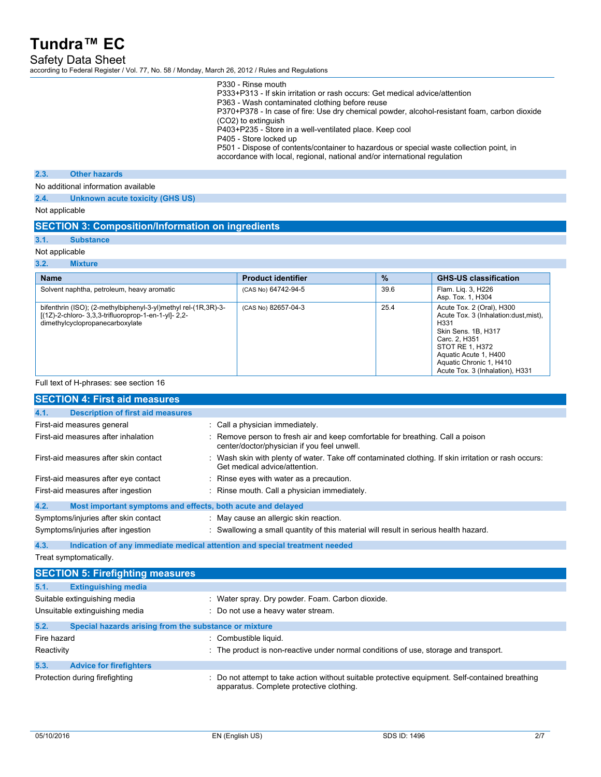### Safety Data Sheet

according to Federal Register / Vol. 77, No. 58 / Monday, March 26, 2012 / Rules and Regulations

| P330 - Rinse mouth                                                                           |
|----------------------------------------------------------------------------------------------|
| P333+P313 - If skin irritation or rash occurs: Get medical advice/attention                  |
| P363 - Wash contaminated clothing before reuse                                               |
| P370+P378 - In case of fire: Use dry chemical powder, alcohol-resistant foam, carbon dioxide |
| (CO2) to extinguish                                                                          |
| P403+P235 - Store in a well-ventilated place. Keep cool                                      |
| P405 - Store locked up                                                                       |
| P501 - Dispose of contents/container to hazardous or special waste collection point, in      |
| accordance with local, regional, national and/or international regulation                    |
|                                                                                              |

### **2.3. Other hazards**

No additional information available

**2.4. Unknown acute toxicity (GHS US)**

Not applicable

### **SECTION 3: Composition/Information on ingredients**

## **3.1. Substance**

### Not applicable

**3.2. Mixture**

| <b>Name</b>                                                                                                                                               | <b>Product identifier</b> | $\frac{9}{6}$ | <b>GHS-US classification</b>                                                                                                                                                                                                  |
|-----------------------------------------------------------------------------------------------------------------------------------------------------------|---------------------------|---------------|-------------------------------------------------------------------------------------------------------------------------------------------------------------------------------------------------------------------------------|
| Solvent naphtha, petroleum, heavy aromatic                                                                                                                | (CAS No) 64742-94-5       | 39.6          | Flam. Lig. 3, H226<br>Asp. Tox. 1, H304                                                                                                                                                                                       |
| bifenthrin (ISO); (2-methylbiphenyl-3-yl)methyl rel-(1R,3R)-3-<br>[(1Z)-2-chloro- 3,3,3-trifluoroprop-1-en-1-yl]- 2,2-<br>dimethylcyclopropanecarboxylate | (CAS No) 82657-04-3       | 25.4          | Acute Tox. 2 (Oral), H300<br>Acute Tox. 3 (Inhalation: dust, mist),<br>H331<br>Skin Sens. 1B, H317<br>Carc. 2. H351<br>STOT RE 1, H372<br>Aquatic Acute 1, H400<br>Aquatic Chronic 1, H410<br>Acute Tox. 3 (Inhalation), H331 |

### Full text of H-phrases: see section 16

|             | <b>SECTION 4: First aid measures</b>                                       |                                                                                                                                             |
|-------------|----------------------------------------------------------------------------|---------------------------------------------------------------------------------------------------------------------------------------------|
| 4.1.        | <b>Description of first aid measures</b>                                   |                                                                                                                                             |
|             | First-aid measures general                                                 | : Call a physician immediately.                                                                                                             |
|             | First-aid measures after inhalation                                        | : Remove person to fresh air and keep comfortable for breathing. Call a poison<br>center/doctor/physician if you feel unwell.               |
|             | First-aid measures after skin contact                                      | : Wash skin with plenty of water. Take off contaminated clothing. If skin irritation or rash occurs:<br>Get medical advice/attention        |
|             | First-aid measures after eye contact                                       | : Rinse eyes with water as a precaution.                                                                                                    |
|             | First-aid measures after ingestion                                         | : Rinse mouth. Call a physician immediately.                                                                                                |
| 4.2.        | Most important symptoms and effects, both acute and delayed                |                                                                                                                                             |
|             | Symptoms/injuries after skin contact                                       | : May cause an allergic skin reaction.                                                                                                      |
|             | Symptoms/injuries after ingestion                                          | : Swallowing a small quantity of this material will result in serious health hazard.                                                        |
| 4.3.        | Indication of any immediate medical attention and special treatment needed |                                                                                                                                             |
|             | Treat symptomatically.                                                     |                                                                                                                                             |
|             | <b>SECTION 5: Firefighting measures</b>                                    |                                                                                                                                             |
| 5.1.        | <b>Extinguishing media</b>                                                 |                                                                                                                                             |
|             | Suitable extinguishing media                                               | : Water spray. Dry powder. Foam. Carbon dioxide.                                                                                            |
|             | Unsuitable extinguishing media                                             | : Do not use a heavy water stream.                                                                                                          |
| 5.2.        | Special hazards arising from the substance or mixture                      |                                                                                                                                             |
| Fire hazard |                                                                            | : Combustible liquid.                                                                                                                       |
| Reactivity  |                                                                            | : The product is non-reactive under normal conditions of use, storage and transport.                                                        |
| 5.3.        | <b>Advice for firefighters</b>                                             |                                                                                                                                             |
|             | Protection during firefighting                                             | : Do not attempt to take action without suitable protective equipment. Self-contained breathing<br>apparatus. Complete protective clothing. |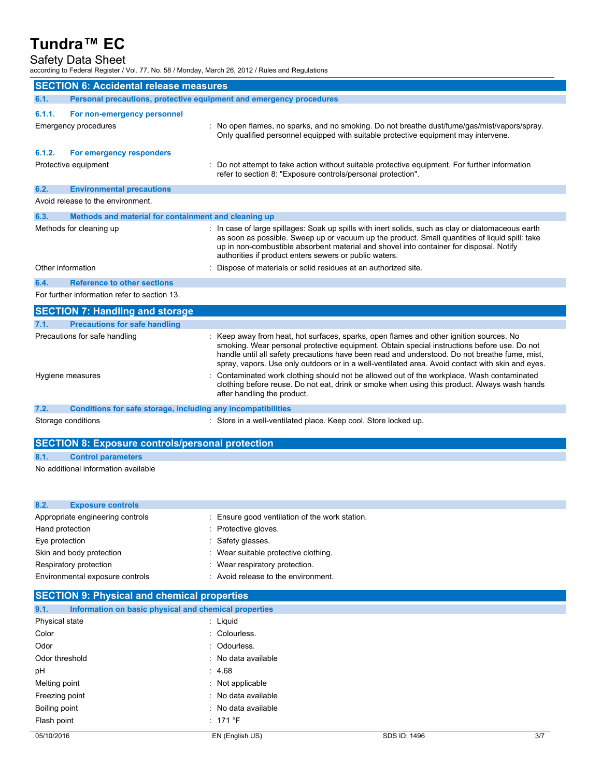### Safety Data Sheet

according to Federal Register / Vol. 77, No. 58 / Monday, March 26, 2012 / Rules and Regulations

|        | <b>SECTION 6: Accidental release measures</b>                       |                                                                                                                                                                                                                                                                                                                                                                                             |
|--------|---------------------------------------------------------------------|---------------------------------------------------------------------------------------------------------------------------------------------------------------------------------------------------------------------------------------------------------------------------------------------------------------------------------------------------------------------------------------------|
| 6.1.   | Personal precautions, protective equipment and emergency procedures |                                                                                                                                                                                                                                                                                                                                                                                             |
| 6.1.1. | For non-emergency personnel                                         |                                                                                                                                                                                                                                                                                                                                                                                             |
|        | Emergency procedures                                                | : No open flames, no sparks, and no smoking. Do not breathe dust/fume/gas/mist/vapors/spray.<br>Only qualified personnel equipped with suitable protective equipment may intervene.                                                                                                                                                                                                         |
| 6.1.2. | For emergency responders                                            |                                                                                                                                                                                                                                                                                                                                                                                             |
|        | Protective equipment                                                | Do not attempt to take action without suitable protective equipment. For further information<br>refer to section 8: "Exposure controls/personal protection".                                                                                                                                                                                                                                |
| 6.2.   | <b>Environmental precautions</b>                                    |                                                                                                                                                                                                                                                                                                                                                                                             |
|        | Avoid release to the environment.                                   |                                                                                                                                                                                                                                                                                                                                                                                             |
| 6.3.   | Methods and material for containment and cleaning up                |                                                                                                                                                                                                                                                                                                                                                                                             |
|        | Methods for cleaning up                                             | : In case of large spillages: Soak up spills with inert solids, such as clay or diatomaceous earth<br>as soon as possible. Sweep up or vacuum up the product. Small quantities of liquid spill: take<br>up in non-combustible absorbent material and shovel into container for disposal. Notify<br>authorities if product enters sewers or public waters.                                   |
|        | Other information                                                   | Dispose of materials or solid residues at an authorized site.                                                                                                                                                                                                                                                                                                                               |
| 6.4.   | <b>Reference to other sections</b>                                  |                                                                                                                                                                                                                                                                                                                                                                                             |
|        | For further information refer to section 13.                        |                                                                                                                                                                                                                                                                                                                                                                                             |
|        | <b>SECTION 7: Handling and storage</b>                              |                                                                                                                                                                                                                                                                                                                                                                                             |
| 7.1.   | <b>Precautions for safe handling</b>                                |                                                                                                                                                                                                                                                                                                                                                                                             |
|        | Precautions for safe handling                                       | : Keep away from heat, hot surfaces, sparks, open flames and other ignition sources. No<br>smoking. Wear personal protective equipment. Obtain special instructions before use. Do not<br>handle until all safety precautions have been read and understood. Do not breathe fume, mist,<br>spray, vapors. Use only outdoors or in a well-ventilated area. Avoid contact with skin and eyes. |
|        | Hygiene measures                                                    | Contaminated work clothing should not be allowed out of the workplace. Wash contaminated<br>clothing before reuse. Do not eat, drink or smoke when using this product. Always wash hands<br>after handling the product.                                                                                                                                                                     |
| 7.2.   | Conditions for safe storage, including any incompatibilities        |                                                                                                                                                                                                                                                                                                                                                                                             |
|        | Storage conditions                                                  | : Store in a well-ventilated place. Keep cool. Store locked up.                                                                                                                                                                                                                                                                                                                             |
|        | <b>SECTION 8: Exposure controls/personal protection</b>             |                                                                                                                                                                                                                                                                                                                                                                                             |
|        |                                                                     |                                                                                                                                                                                                                                                                                                                                                                                             |
| 8.1.   | <b>Control parameters</b>                                           |                                                                                                                                                                                                                                                                                                                                                                                             |
|        | No additional information available                                 |                                                                                                                                                                                                                                                                                                                                                                                             |
| 8.2.   | <b>Exposure controls</b>                                            |                                                                                                                                                                                                                                                                                                                                                                                             |
|        |                                                                     |                                                                                                                                                                                                                                                                                                                                                                                             |

| Appropriate engineering controls | : Ensure good ventilation of the work station. |
|----------------------------------|------------------------------------------------|
| Hand protection                  | : Protective gloves.                           |
| Eye protection                   | : Safety glasses.                              |
| Skin and body protection         | : Wear suitable protective clothing.           |
| Respiratory protection           | : Wear respiratory protection.                 |
| Environmental exposure controls  | : Avoid release to the environment.            |

## **SECTION 9: Physical and chemical properties**

| 9.1.           | Information on basic physical and chemical properties |              |     |
|----------------|-------------------------------------------------------|--------------|-----|
| Physical state | : Liquid                                              |              |     |
| Color          | : Colourless.                                         |              |     |
| Odor           | : Odourless.                                          |              |     |
| Odor threshold | : No data available                                   |              |     |
| pH             | : 4.68                                                |              |     |
| Melting point  | : Not applicable                                      |              |     |
| Freezing point | : No data available                                   |              |     |
| Boiling point  | : No data available                                   |              |     |
| Flash point    | $\div$ 171 °F                                         |              |     |
| 05/10/2016     | EN (English US)                                       | SDS ID: 1496 | 3/7 |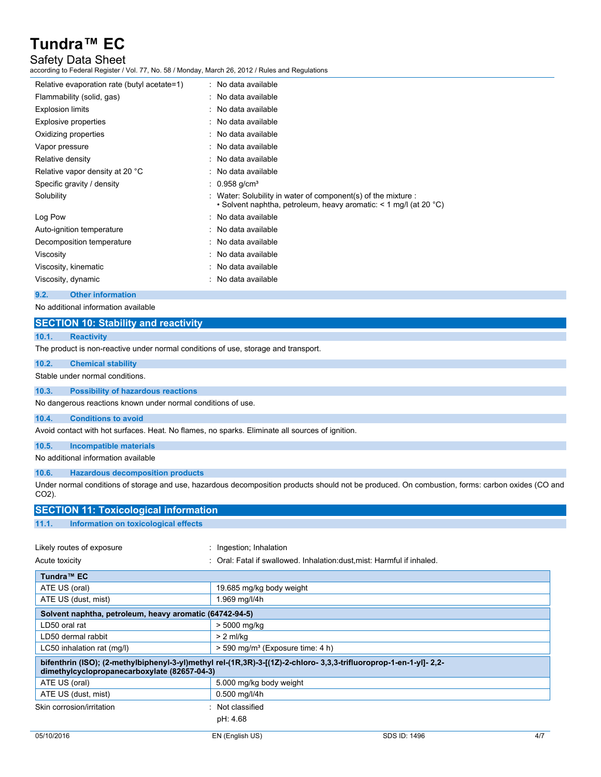## Safety Data Sheet

according to Federal Register / Vol. 77, No. 58 / Monday, March 26, 2012 / Rules and Regulations

| Relative evaporation rate (butyl acetate=1) | : No data available                                                                                                                     |
|---------------------------------------------|-----------------------------------------------------------------------------------------------------------------------------------------|
| Flammability (solid, gas)                   | : No data available                                                                                                                     |
| <b>Explosion limits</b>                     | $\therefore$ No data available                                                                                                          |
| Explosive properties                        | : No data available                                                                                                                     |
| Oxidizing properties                        | : No data available                                                                                                                     |
| Vapor pressure                              | : No data available                                                                                                                     |
| Relative density                            | : No data available                                                                                                                     |
| Relative vapor density at 20 °C             | $\therefore$ No data available                                                                                                          |
| Specific gravity / density                  | $\therefore$ 0.958 g/cm <sup>3</sup>                                                                                                    |
| Solubility                                  | : Water: Solubility in water of component(s) of the mixture :<br>• Solvent naphtha, petroleum, heavy aromatic: $\leq 1$ mg/l (at 20 °C) |
| Log Pow                                     | : No data available                                                                                                                     |
| Auto-ignition temperature                   | : No data available                                                                                                                     |
| Decomposition temperature                   | : No data available                                                                                                                     |
| Viscosity                                   | : No data available                                                                                                                     |
| Viscosity, kinematic                        | : No data available                                                                                                                     |
| Viscosity, dynamic                          | : No data available                                                                                                                     |
|                                             |                                                                                                                                         |

#### **9.2. Other information**

No additional information available

### **SECTION 10: Stability and reactivity**

### **10.1. Reactivity**

The product is non-reactive under normal conditions of use, storage and transport.

## **10.2. Chemical stability** Stable under normal conditions. **10.3. Possibility of hazardous reactions** No dangerous reactions known under normal conditions of use.

**10.4. Conditions to avoid**

Avoid contact with hot surfaces. Heat. No flames, no sparks. Eliminate all sources of ignition.

### **10.5. Incompatible materials**

No additional information available

### **10.6. Hazardous decomposition products**

Under normal conditions of storage and use, hazardous decomposition products should not be produced. On combustion, forms: carbon oxides (CO and CO2).

| <b>SECTION 11: Toxicological information</b>                                                                                                                       |                                                                         |              |     |
|--------------------------------------------------------------------------------------------------------------------------------------------------------------------|-------------------------------------------------------------------------|--------------|-----|
| 11.1.<br>Information on toxicological effects                                                                                                                      |                                                                         |              |     |
|                                                                                                                                                                    |                                                                         |              |     |
| Likely routes of exposure                                                                                                                                          | Ingestion; Inhalation                                                   |              |     |
| Acute toxicity                                                                                                                                                     | : Oral: Fatal if swallowed. Inhalation: dust, mist: Harmful if inhaled. |              |     |
| Tundra <sup>™</sup> EC                                                                                                                                             |                                                                         |              |     |
| ATE US (oral)                                                                                                                                                      | 19.685 mg/kg body weight                                                |              |     |
| ATE US (dust, mist)                                                                                                                                                | 1.969 mg/l/4h                                                           |              |     |
| Solvent naphtha, petroleum, heavy aromatic (64742-94-5)                                                                                                            |                                                                         |              |     |
| LD50 oral rat                                                                                                                                                      | > 5000 mg/kg                                                            |              |     |
| LD50 dermal rabbit                                                                                                                                                 | $> 2$ ml/kg                                                             |              |     |
| LC50 inhalation rat (mg/l)                                                                                                                                         | $>$ 590 mg/m <sup>3</sup> (Exposure time: 4 h)                          |              |     |
| bifenthrin (ISO); (2-methylbiphenyl-3-yl)methyl rel-(1R,3R)-3-[(1Z)-2-chloro- 3,3,3-trifluoroprop-1-en-1-yl]- 2,2-<br>dimethylcyclopropanecarboxylate (82657-04-3) |                                                                         |              |     |
| ATE US (oral)                                                                                                                                                      | 5.000 mg/kg body weight                                                 |              |     |
| ATE US (dust, mist)                                                                                                                                                | $0.500$ mg/l/4h                                                         |              |     |
| Skin corrosion/irritation                                                                                                                                          | Not classified                                                          |              |     |
|                                                                                                                                                                    | pH: 4.68                                                                |              |     |
| 05/10/2016                                                                                                                                                         | EN (English US)                                                         | SDS ID: 1496 | 4/7 |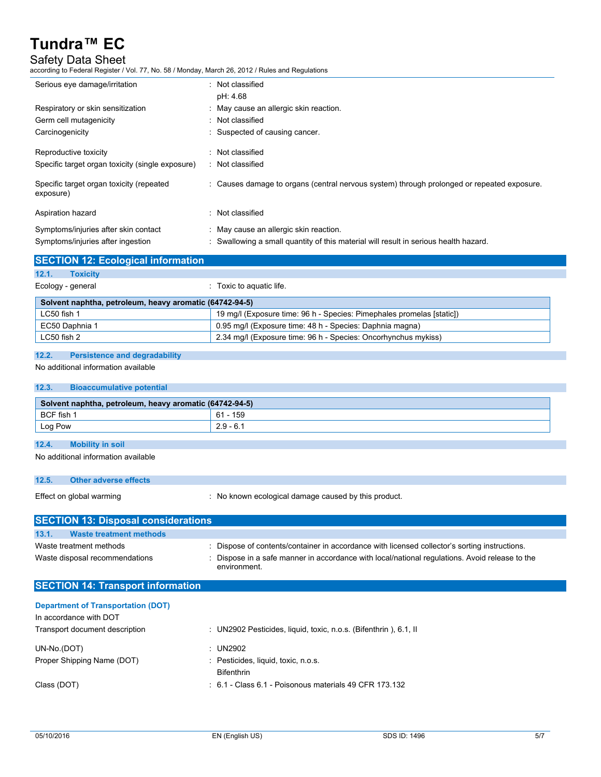## Safety Data Sheet

according to Federal Register / Vol. 77, No. 58 / Monday, March 26, 2012 / Rules and Regulations

| Serious eye damage/irritation                         | : Not classified                                                                           |
|-------------------------------------------------------|--------------------------------------------------------------------------------------------|
|                                                       | pH: 4.68                                                                                   |
| Respiratory or skin sensitization                     | : May cause an allergic skin reaction.                                                     |
| Germ cell mutagenicity                                | : Not classified                                                                           |
| Carcinogenicity                                       | : Suspected of causing cancer.                                                             |
| Reproductive toxicity                                 | : Not classified                                                                           |
| Specific target organ toxicity (single exposure)      | : Not classified                                                                           |
| Specific target organ toxicity (repeated<br>exposure) | : Causes damage to organs (central nervous system) through prolonged or repeated exposure. |
| Aspiration hazard                                     | : Not classified                                                                           |
| Symptoms/injuries after skin contact                  | : May cause an allergic skin reaction.                                                     |
| Symptoms/injuries after ingestion                     | Swallowing a small quantity of this material will result in serious health hazard.         |

| <b>SECTION 12: Ecological information</b>               |                                                                       |
|---------------------------------------------------------|-----------------------------------------------------------------------|
| 12.1.<br><b>Toxicity</b>                                |                                                                       |
| Ecology - general                                       | : Toxic to aquatic life.                                              |
| Solvent naphtha, petroleum, heavy aromatic (64742-94-5) |                                                                       |
| LC50 fish 1                                             | 19 mg/l (Exposure time: 96 h - Species: Pimephales promelas [static]) |
| EC50 Daphnia 1                                          | 0.95 mg/l (Exposure time: 48 h - Species: Daphnia magna)              |
| LC50 fish 2                                             | 2.34 mg/l (Exposure time: 96 h - Species: Oncorhynchus mykiss)        |

### **12.2. Persistence and degradability**

No additional information available

| 12.3.      | <b>Bioaccumulative potential</b>                        |             |
|------------|---------------------------------------------------------|-------------|
|            | Solvent naphtha, petroleum, heavy aromatic (64742-94-5) |             |
| BCF fish 1 |                                                         | 61 - 159    |
| Log Pow    |                                                         | $2.9 - 6.1$ |

### **12.4. Mobility in soil**

No additional information available

| 12.5.                               | Other adverse effects |                                                      |  |
|-------------------------------------|-----------------------|------------------------------------------------------|--|
| Effect on global warming            |                       | : No known ecological damage caused by this product. |  |
| SECTION 13: Dienosal considerations |                       |                                                      |  |

| <b>SECTION 13: DISPOSAL CONSIDERATIONS</b> |                                                                                                                |  |  |
|--------------------------------------------|----------------------------------------------------------------------------------------------------------------|--|--|
| 13.1.<br>Waste treatment methods           |                                                                                                                |  |  |
| Waste treatment methods                    | : Dispose of contents/container in accordance with licensed collector's sorting instructions.                  |  |  |
| Waste disposal recommendations             | : Dispose in a safe manner in accordance with local/national regulations. Avoid release to the<br>environment. |  |  |

## **SECTION 14: Transport information**

| : UN2902 Pesticides, liquid, toxic, n.o.s. (Bifenthrin), 6.1, II |
|------------------------------------------------------------------|
| : UN2902                                                         |
| : Pesticides, liquid, toxic, n.o.s.                              |
| <b>Bifenthrin</b>                                                |
| $\div$ 6.1 - Class 6.1 - Poisonous materials 49 CFR 173.132      |
|                                                                  |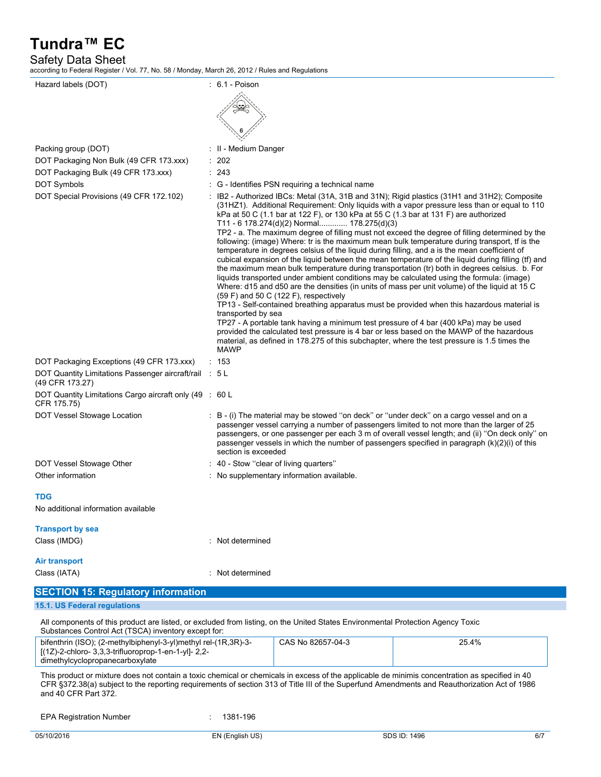Safety Data Sheet

according to Federal Register / Vol. 77, No. 58 / Monday, March 26, 2012 / Rules and Regulations

| Hazard labels (DOT)                                                                                                             | $: 6.1 - Poisson$                                                                                                                                                                                                                                                                                                                                                                                                                                                                                                                                                                                                                                                                                                                                                                                                                                                                                                                                                                                                                                                                                                                                                                                                                                                                                                                                                                                                                                                                                            |  |
|---------------------------------------------------------------------------------------------------------------------------------|--------------------------------------------------------------------------------------------------------------------------------------------------------------------------------------------------------------------------------------------------------------------------------------------------------------------------------------------------------------------------------------------------------------------------------------------------------------------------------------------------------------------------------------------------------------------------------------------------------------------------------------------------------------------------------------------------------------------------------------------------------------------------------------------------------------------------------------------------------------------------------------------------------------------------------------------------------------------------------------------------------------------------------------------------------------------------------------------------------------------------------------------------------------------------------------------------------------------------------------------------------------------------------------------------------------------------------------------------------------------------------------------------------------------------------------------------------------------------------------------------------------|--|
|                                                                                                                                 |                                                                                                                                                                                                                                                                                                                                                                                                                                                                                                                                                                                                                                                                                                                                                                                                                                                                                                                                                                                                                                                                                                                                                                                                                                                                                                                                                                                                                                                                                                              |  |
| Packing group (DOT)                                                                                                             | : II - Medium Danger                                                                                                                                                                                                                                                                                                                                                                                                                                                                                                                                                                                                                                                                                                                                                                                                                                                                                                                                                                                                                                                                                                                                                                                                                                                                                                                                                                                                                                                                                         |  |
| DOT Packaging Non Bulk (49 CFR 173.xxx)                                                                                         | 202                                                                                                                                                                                                                                                                                                                                                                                                                                                                                                                                                                                                                                                                                                                                                                                                                                                                                                                                                                                                                                                                                                                                                                                                                                                                                                                                                                                                                                                                                                          |  |
| DOT Packaging Bulk (49 CFR 173.xxx)                                                                                             | : 243                                                                                                                                                                                                                                                                                                                                                                                                                                                                                                                                                                                                                                                                                                                                                                                                                                                                                                                                                                                                                                                                                                                                                                                                                                                                                                                                                                                                                                                                                                        |  |
| DOT Symbols                                                                                                                     | G - Identifies PSN requiring a technical name                                                                                                                                                                                                                                                                                                                                                                                                                                                                                                                                                                                                                                                                                                                                                                                                                                                                                                                                                                                                                                                                                                                                                                                                                                                                                                                                                                                                                                                                |  |
| DOT Special Provisions (49 CFR 172.102)                                                                                         | : IB2 - Authorized IBCs: Metal (31A, 31B and 31N); Rigid plastics (31H1 and 31H2); Composite<br>(31HZ1). Additional Requirement: Only liquids with a vapor pressure less than or equal to 110<br>kPa at 50 C (1.1 bar at 122 F), or 130 kPa at 55 C (1.3 bar at 131 F) are authorized<br>T11 - 6 178.274(d)(2) Normal 178.275(d)(3)<br>TP2 - a. The maximum degree of filling must not exceed the degree of filling determined by the<br>following: (image) Where: tr is the maximum mean bulk temperature during transport, tf is the<br>temperature in degrees celsius of the liquid during filling, and a is the mean coefficient of<br>cubical expansion of the liquid between the mean temperature of the liquid during filling (tf) and<br>the maximum mean bulk temperature during transportation (tr) both in degrees celsius. b. For<br>liquids transported under ambient conditions may be calculated using the formula: (image)<br>Where: d15 and d50 are the densities (in units of mass per unit volume) of the liquid at 15 C<br>(59 F) and 50 C (122 F), respectively<br>TP13 - Self-contained breathing apparatus must be provided when this hazardous material is<br>transported by sea<br>TP27 - A portable tank having a minimum test pressure of 4 bar (400 kPa) may be used<br>provided the calculated test pressure is 4 bar or less based on the MAWP of the hazardous<br>material, as defined in 178.275 of this subchapter, where the test pressure is 1.5 times the<br><b>MAWP</b> |  |
| DOT Packaging Exceptions (49 CFR 173.xxx)                                                                                       | : 153                                                                                                                                                                                                                                                                                                                                                                                                                                                                                                                                                                                                                                                                                                                                                                                                                                                                                                                                                                                                                                                                                                                                                                                                                                                                                                                                                                                                                                                                                                        |  |
| DOT Quantity Limitations Passenger aircraft/rail : 5 L<br>(49 CFR 173.27)                                                       |                                                                                                                                                                                                                                                                                                                                                                                                                                                                                                                                                                                                                                                                                                                                                                                                                                                                                                                                                                                                                                                                                                                                                                                                                                                                                                                                                                                                                                                                                                              |  |
| DOT Quantity Limitations Cargo aircraft only (49 : 60 L<br>CFR 175.75)                                                          |                                                                                                                                                                                                                                                                                                                                                                                                                                                                                                                                                                                                                                                                                                                                                                                                                                                                                                                                                                                                                                                                                                                                                                                                                                                                                                                                                                                                                                                                                                              |  |
| DOT Vessel Stowage Location                                                                                                     | : B - (i) The material may be stowed "on deck" or "under deck" on a cargo vessel and on a<br>passenger vessel carrying a number of passengers limited to not more than the larger of 25<br>passengers, or one passenger per each 3 m of overall vessel length; and (ii) "On deck only" on<br>passenger vessels in which the number of passengers specified in paragraph (k)(2)(i) of this<br>section is exceeded                                                                                                                                                                                                                                                                                                                                                                                                                                                                                                                                                                                                                                                                                                                                                                                                                                                                                                                                                                                                                                                                                             |  |
| DOT Vessel Stowage Other                                                                                                        | $\therefore$ 40 - Stow "clear of living quarters"                                                                                                                                                                                                                                                                                                                                                                                                                                                                                                                                                                                                                                                                                                                                                                                                                                                                                                                                                                                                                                                                                                                                                                                                                                                                                                                                                                                                                                                            |  |
| Other information                                                                                                               | : No supplementary information available.                                                                                                                                                                                                                                                                                                                                                                                                                                                                                                                                                                                                                                                                                                                                                                                                                                                                                                                                                                                                                                                                                                                                                                                                                                                                                                                                                                                                                                                                    |  |
| <b>TDG</b><br>No additional information available                                                                               |                                                                                                                                                                                                                                                                                                                                                                                                                                                                                                                                                                                                                                                                                                                                                                                                                                                                                                                                                                                                                                                                                                                                                                                                                                                                                                                                                                                                                                                                                                              |  |
| <b>Transport by sea</b>                                                                                                         |                                                                                                                                                                                                                                                                                                                                                                                                                                                                                                                                                                                                                                                                                                                                                                                                                                                                                                                                                                                                                                                                                                                                                                                                                                                                                                                                                                                                                                                                                                              |  |
| Class (IMDG)                                                                                                                    | Not determined                                                                                                                                                                                                                                                                                                                                                                                                                                                                                                                                                                                                                                                                                                                                                                                                                                                                                                                                                                                                                                                                                                                                                                                                                                                                                                                                                                                                                                                                                               |  |
| <b>Air transport</b><br>Class (IATA)                                                                                            | Not determined                                                                                                                                                                                                                                                                                                                                                                                                                                                                                                                                                                                                                                                                                                                                                                                                                                                                                                                                                                                                                                                                                                                                                                                                                                                                                                                                                                                                                                                                                               |  |
|                                                                                                                                 |                                                                                                                                                                                                                                                                                                                                                                                                                                                                                                                                                                                                                                                                                                                                                                                                                                                                                                                                                                                                                                                                                                                                                                                                                                                                                                                                                                                                                                                                                                              |  |
| <b>SECTION 15: Regulatory information</b>                                                                                       |                                                                                                                                                                                                                                                                                                                                                                                                                                                                                                                                                                                                                                                                                                                                                                                                                                                                                                                                                                                                                                                                                                                                                                                                                                                                                                                                                                                                                                                                                                              |  |
| 15.1. US Federal regulations                                                                                                    |                                                                                                                                                                                                                                                                                                                                                                                                                                                                                                                                                                                                                                                                                                                                                                                                                                                                                                                                                                                                                                                                                                                                                                                                                                                                                                                                                                                                                                                                                                              |  |
| All components of this product are listed, or excluded from listing, on the United States Environmental Protection Agency Toxic |                                                                                                                                                                                                                                                                                                                                                                                                                                                                                                                                                                                                                                                                                                                                                                                                                                                                                                                                                                                                                                                                                                                                                                                                                                                                                                                                                                                                                                                                                                              |  |

Substances Control Act (TSCA) inventory except for: bifenthrin (ISO); (2-methylbiphenyl-3-yl)methyl rel-(1R,3R)-3- [(1Z)-2-chloro- 3,3,3-trifluoroprop-1-en-1-yl]- 2,2 dimethylcyclopropanecarboxylate CAS No 82657-04-3 25.4%

This product or mixture does not contain a toxic chemical or chemicals in excess of the applicable de minimis concentration as specified in 40 CFR §372.38(a) subject to the reporting requirements of section 313 of Title III of the Superfund Amendments and Reauthorization Act of 1986 and 40 CFR Part 372.

EPA Registration Number : 1381-196